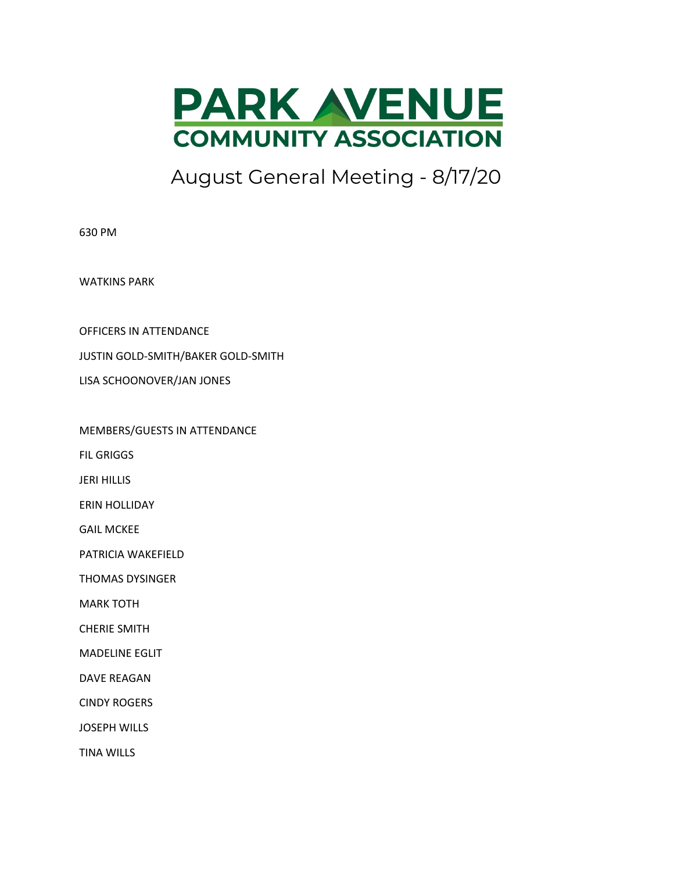

August General Meeting - 8/17/20

630 PM

WATKINS PARK

OFFICERS IN ATTENDANCE

JUSTIN GOLD-SMITH/BAKER GOLD-SMITH

LISA SCHOONOVER/JAN JONES

MEMBERS/GUESTS IN ATTENDANCE

FIL GRIGGS

JERI HILLIS

ERIN HOLLIDAY

GAIL MCKEE

PATRICIA WAKEFIELD

THOMAS DYSINGER

MARK TOTH

CHERIE SMITH

MADELINE EGLIT

DAVE REAGAN

CINDY ROGERS

JOSEPH WILLS

TINA WILLS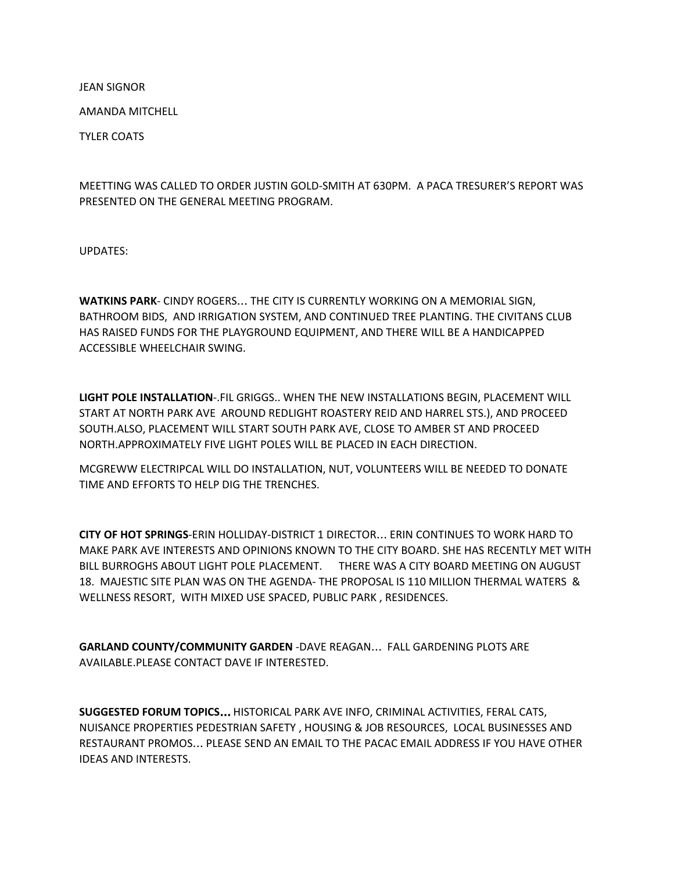JEAN SIGNOR

AMANDA MITCHELL

TYLER COATS

MEETTING WAS CALLED TO ORDER JUSTIN GOLD-SMITH AT 630PM. A PACA TRESURER'S REPORT WAS PRESENTED ON THE GENERAL MEETING PROGRAM.

UPDATES:

**WATKINS PARK**- CINDY ROGERS… THE CITY IS CURRENTLY WORKING ON A MEMORIAL SIGN, BATHROOM BIDS, AND IRRIGATION SYSTEM, AND CONTINUED TREE PLANTING. THE CIVITANS CLUB HAS RAISED FUNDS FOR THE PLAYGROUND EQUIPMENT, AND THERE WILL BE A HANDICAPPED ACCESSIBLE WHEELCHAIR SWING.

**LIGHT POLE INSTALLATION**-.FIL GRIGGS.. WHEN THE NEW INSTALLATIONS BEGIN, PLACEMENT WILL START AT NORTH PARK AVE AROUND REDLIGHT ROASTERY REID AND HARREL STS.), AND PROCEED SOUTH.ALSO, PLACEMENT WILL START SOUTH PARK AVE, CLOSE TO AMBER ST AND PROCEED NORTH.APPROXIMATELY FIVE LIGHT POLES WILL BE PLACED IN EACH DIRECTION.

MCGREWW ELECTRIPCAL WILL DO INSTALLATION, NUT, VOLUNTEERS WILL BE NEEDED TO DONATE TIME AND EFFORTS TO HELP DIG THE TRENCHES.

**CITY OF HOT SPRINGS**-ERIN HOLLIDAY-DISTRICT 1 DIRECTOR… ERIN CONTINUES TO WORK HARD TO MAKE PARK AVE INTERESTS AND OPINIONS KNOWN TO THE CITY BOARD. SHE HAS RECENTLY MET WITH BILL BURROGHS ABOUT LIGHT POLE PLACEMENT. THERE WAS A CITY BOARD MEETING ON AUGUST 18. MAJESTIC SITE PLAN WAS ON THE AGENDA- THE PROPOSAL IS 110 MILLION THERMAL WATERS & WELLNESS RESORT, WITH MIXED USE SPACED, PUBLIC PARK , RESIDENCES.

**GARLAND COUNTY/COMMUNITY GARDEN** -DAVE REAGAN… FALL GARDENING PLOTS ARE AVAILABLE.PLEASE CONTACT DAVE IF INTERESTED.

**SUGGESTED FORUM TOPICS**… HISTORICAL PARK AVE INFO, CRIMINAL ACTIVITIES, FERAL CATS, NUISANCE PROPERTIES PEDESTRIAN SAFETY , HOUSING & JOB RESOURCES, LOCAL BUSINESSES AND RESTAURANT PROMOS… PLEASE SEND AN EMAIL TO THE PACAC EMAIL ADDRESS IF YOU HAVE OTHER IDEAS AND INTERESTS.